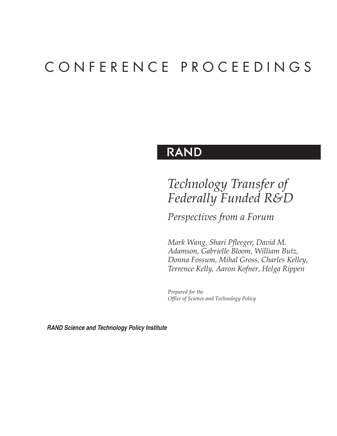# CONFERENCE PROCEEDINGS

# **RAND**

# *Technology Transfer of Federally Funded R&D*

*Perspectives from a Forum*

*Mark Wang, Shari Pfleeger, David M. Adamson, Gabrielle Bloom, William Butz, Donna Fossum, Mihal Gross, Charles Kelley, Terrence Kelly, Aaron Kofner, Helga Rippen* 

*Prepared for the Office of Science and Technology Policy*

*RAND Science and Technology Policy Institute*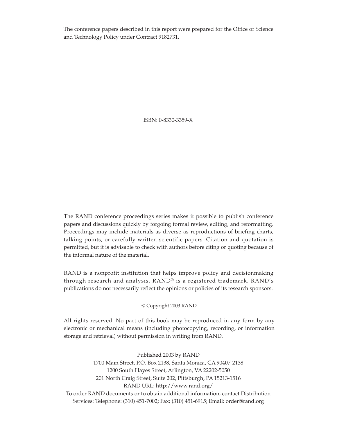The conference papers described in this report were prepared for the Office of Science and Technology Policy under Contract 9182731.

ISBN: 0-8330-3359-X

The RAND conference proceedings series makes it possible to publish conference papers and discussions quickly by forgoing formal review, editing, and reformatting. Proceedings may include materials as diverse as reproductions of briefing charts, talking points, or carefully written scientific papers. Citation and quotation is permitted, but it is advisable to check with authors before citing or quoting because of the informal nature of the material.

RAND is a nonprofit institution that helps improve policy and decisionmaking through research and analysis. RAND® is a registered trademark. RAND's publications do not necessarily reflect the opinions or policies of its research sponsors.

#### © Copyright 2003 RAND

All rights reserved. No part of this book may be reproduced in any form by any electronic or mechanical means (including photocopying, recording, or information storage and retrieval) without permission in writing from RAND.

Published 2003 by RAND 1700 Main Street, P.O. Box 2138, Santa Monica, CA 90407-2138 1200 South Hayes Street, Arlington, VA 22202-5050 201 North Craig Street, Suite 202, Pittsburgh, PA 15213-1516 RAND URL: http://www.rand.org/ To order RAND documents or to obtain additional information, contact Distribution Services: Telephone: (310) 451-7002; Fax: (310) 451-6915; Email: order@rand.org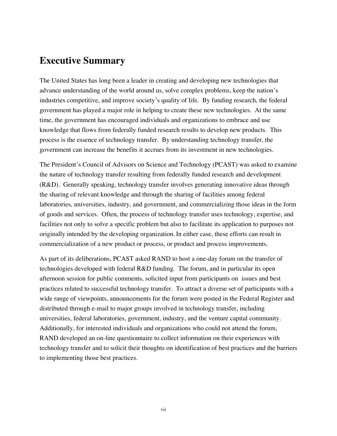## **Executive Summary**

The United States has long been a leader in creating and developing new technologies that advance understanding of the world around us, solve complex problems, keep the nation's industries competitive, and improve society's quality of life. By funding research, the federal government has played a major role in helping to create these new technologies. At the same time, the government has encouraged individuals and organizations to embrace and use knowledge that flows from federally funded research results to develop new products. This process is the essence of technology transfer. By understanding technology transfer, the government can increase the benefits it accrues from its investment in new technologies.

The President's Council of Advisors on Science and Technology (PCAST) was asked to examine the nature of technology transfer resulting from federally funded research and development (R&D). Generally speaking, technology transfer involves generating innovative ideas through the sharing of relevant knowledge and through the sharing of facilities among federal laboratories, universities, industry, and government, and commercializing those ideas in the form of goods and services. Often, the process of technology transfer uses technology, expertise, and facilities not only to solve a specific problem but also to facilitate its application to purposes not originally intended by the developing organization.In either case, these efforts can result in commercialization of a new product or process, or product and process improvements.

As part of its deliberations, PCAST asked RAND to host a one-day forum on the transfer of technologies developed with federal R&D funding. The forum, and in particular its open afternoon session for public comments, solicited input from participants on issues and best practices related to successful technology transfer. To attract a diverse set of participants with a wide range of viewpoints, announcements for the forum were posted in the Federal Register and distributed through e-mail to major groups involved in technology transfer, including universities, federal laboratories, government, industry, and the venture capital community. Additionally, for interested individuals and organizations who could not attend the forum, RAND developed an on-line questionnaire to collect information on their experiences with technology transfer and to solicit their thoughts on identification of best practices and the barriers to implementing those best practices.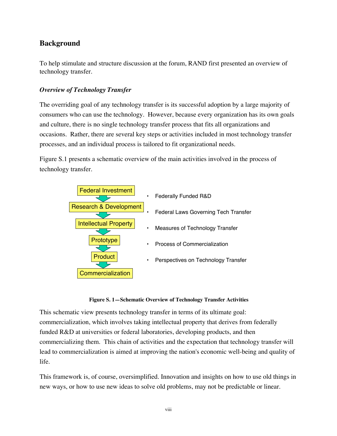### **Background**

To help stimulate and structure discussion at the forum, RAND first presented an overview of technology transfer.

#### *Overview of Technology Transfer*

The overriding goal of any technology transfer is its successful adoption by a large majority of consumers who can use the technology. However, because every organization has its own goals and culture, there is no single technology transfer process that fits all organizations and occasions. Rather, there are several key steps or activities included in most technology transfer processes, and an individual process is tailored to fit organizational needs.

Figure S.1 presents a schematic overview of the main activities involved in the process of technology transfer.





This schematic view presents technology transfer in terms of its ultimate goal: commercialization, which involves taking intellectual property that derives from federally funded R&D at universities or federal laboratories, developing products, and then commercializing them. This chain of activities and the expectation that technology transfer will lead to commercialization is aimed at improving the nation's economic well-being and quality of life.

This framework is, of course, oversimplified. Innovation and insights on how to use old things in new ways, or how to use new ideas to solve old problems, may not be predictable or linear.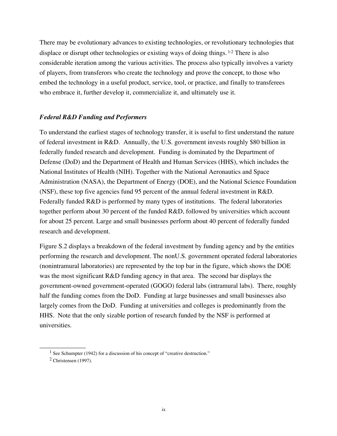There may be evolutionary advances to existing technologies, or revolutionary technologies that displace or disrupt other technologies or existing ways of doing things.  $1/2$  There is also considerable iteration among the various activities. The process also typically involves a variety of players, from transferors who create the technology and prove the concept, to those who embed the technology in a useful product, service, tool, or practice, and finally to transferees who embrace it, further develop it, commercialize it, and ultimately use it.

#### *Federal R&D Funding and Performers*

To understand the earliest stages of technology transfer, it is useful to first understand the nature of federal investment in R&D. Annually, the U.S. government invests roughly \$80 billion in federally funded research and development. Funding is dominated by the Department of Defense (DoD) and the Department of Health and Human Services (HHS), which includes the National Institutes of Health (NIH). Together with the National Aeronautics and Space Administration (NASA), the Department of Energy (DOE), and the National Science Foundation (NSF), these top five agencies fund 95 percent of the annual federal investment in R&D. Federally funded R&D is performed by many types of institutions. The federal laboratories together perform about 30 percent of the funded R&D, followed by universities which account for about 25 percent. Large and small businesses perform about 40 percent of federally funded research and development.

Figure S.2 displays a breakdown of the federal investment by funding agency and by the entities performing the research and development. The nonU.S. government operated federal laboratories (nonintramural laboratories) are represented by the top bar in the figure, which shows the DOE was the most significant R&D funding agency in that area. The second bar displays the government-owned government-operated (GOGO) federal labs (intramural labs). There, roughly half the funding comes from the DoD. Funding at large businesses and small businesses also largely comes from the DoD. Funding at universities and colleges is predominantly from the HHS. Note that the only sizable portion of research funded by the NSF is performed at universities.

\_\_\_\_\_\_\_\_\_\_\_\_\_\_

<sup>&</sup>lt;sup>1</sup> See Schumpter (1942) for a discussion of his concept of "creative destruction."

<sup>2</sup> Christensen (1997).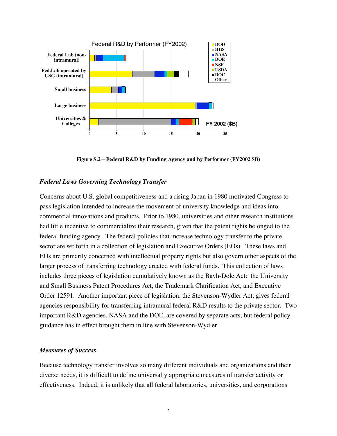

**Figure S.2—Federal R&D by Funding Agency and by Performer (FY2002 \$B)**

#### *Federal Laws Governing Technology Transfer*

Concerns about U.S. global competitiveness and a rising Japan in 1980 motivated Congress to pass legislation intended to increase the movement of university knowledge and ideas into commercial innovations and products. Prior to 1980, universities and other research institutions had little incentive to commercialize their research, given that the patent rights belonged to the federal funding agency. The federal policies that increase technology transfer to the private sector are set forth in a collection of legislation and Executive Orders (EOs). These laws and EOs are primarily concerned with intellectual property rights but also govern other aspects of the larger process of transferring technology created with federal funds. This collection of laws includes three pieces of legislation cumulatively known as the Bayh-Dole Act: the University and Small Business Patent Procedures Act, the Trademark Clarification Act, and Executive Order 12591. Another important piece of legislation, the Stevenson-Wydler Act, gives federal agencies responsibility for transferring intramural federal R&D results to the private sector. Two important R&D agencies, NASA and the DOE, are covered by separate acts, but federal policy guidance has in effect brought them in line with Stevenson-Wydler.

#### *Measures of Success*

Because technology transfer involves so many different individuals and organizations and their diverse needs, it is difficult to define universally appropriate measures of transfer activity or effectiveness. Indeed, it is unlikely that all federal laboratories, universities, and corporations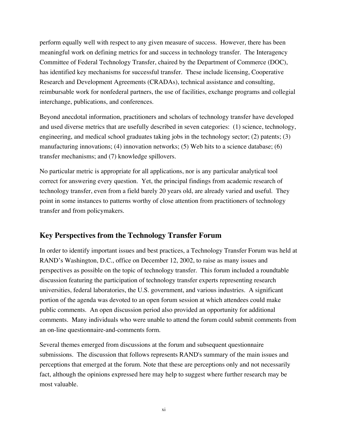perform equally well with respect to any given measure of success. However, there has been meaningful work on defining metrics for and success in technology transfer. The Interagency Committee of Federal Technology Transfer, chaired by the Department of Commerce (DOC), has identified key mechanisms for successful transfer. These include licensing, Cooperative Research and Development Agreements (CRADAs), technical assistance and consulting, reimbursable work for nonfederal partners, the use of facilities, exchange programs and collegial interchange, publications, and conferences.

Beyond anecdotal information, practitioners and scholars of technology transfer have developed and used diverse metrics that are usefully described in seven categories: (1) science, technology, engineering, and medical school graduates taking jobs in the technology sector; (2) patents; (3) manufacturing innovations; (4) innovation networks; (5) Web hits to a science database; (6) transfer mechanisms; and (7) knowledge spillovers.

No particular metric is appropriate for all applications, nor is any particular analytical tool correct for answering every question. Yet, the principal findings from academic research of technology transfer, even from a field barely 20 years old, are already varied and useful. They point in some instances to patterns worthy of close attention from practitioners of technology transfer and from policymakers.

### **Key Perspectives from the Technology Transfer Forum**

In order to identify important issues and best practices, a Technology Transfer Forum was held at RAND's Washington, D.C., office on December 12, 2002, to raise as many issues and perspectives as possible on the topic of technology transfer. This forum included a roundtable discussion featuring the participation of technology transfer experts representing research universities, federal laboratories, the U.S. government, and various industries. A significant portion of the agenda was devoted to an open forum session at which attendees could make public comments. An open discussion period also provided an opportunity for additional comments. Many individuals who were unable to attend the forum could submit comments from an on-line questionnaire-and-comments form.

Several themes emerged from discussions at the forum and subsequent questionnaire submissions. The discussion that follows represents RAND's summary of the main issues and perceptions that emerged at the forum. Note that these are perceptions only and not necessarily fact, although the opinions expressed here may help to suggest where further research may be most valuable.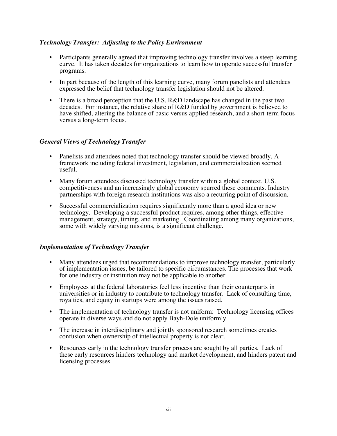#### *Technology Transfer: Adjusting to the Policy Environment*

- Participants generally agreed that improving technology transfer involves a steep learning curve. It has taken decades for organizations to learn how to operate successful transfer programs.
- In part because of the length of this learning curve, many forum panelists and attendees expressed the belief that technology transfer legislation should not be altered.
- There is a broad perception that the U.S. R&D landscape has changed in the past two decades. For instance, the relative share of R&D funded by government is believed to have shifted, altering the balance of basic versus applied research, and a short-term focus versus a long-term focus.

#### *General Views of Technology Transfer*

- Panelists and attendees noted that technology transfer should be viewed broadly. A framework including federal investment, legislation, and commercialization seemed useful.
- Many forum attendees discussed technology transfer within a global context. U.S. competitiveness and an increasingly global economy spurred these comments. Industry partnerships with foreign research institutions was also a recurring point of discussion.
- Successful commercialization requires significantly more than a good idea or new technology. Developing a successful product requires, among other things, effective management, strategy, timing, and marketing. Coordinating among many organizations, some with widely varying missions, is a significant challenge.

#### *Implementation of Technology Transfer*

- Many attendees urged that recommendations to improve technology transfer, particularly of implementation issues, be tailored to specific circumstances. The processes that work for one industry or institution may not be applicable to another.
- Employees at the federal laboratories feel less incentive than their counterparts in universities or in industry to contribute to technology transfer. Lack of consulting time, royalties, and equity in startups were among the issues raised.
- The implementation of technology transfer is not uniform: Technology licensing offices operate in diverse ways and do not apply Bayh-Dole uniformly.
- The increase in interdisciplinary and jointly sponsored research sometimes creates confusion when ownership of intellectual property is not clear.
- Resources early in the technology transfer process are sought by all parties. Lack of these early resources hinders technology and market development, and hinders patent and licensing processes.